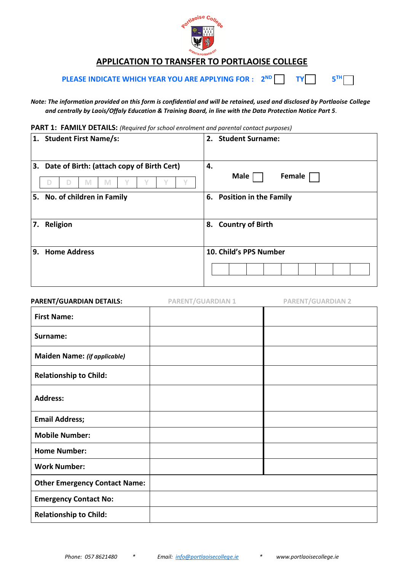

## **APPLICATION TO TRANSFER TO PORTLAOISE COLLEGE**

**PLEASE INDICATE WHICH YEAR YOU ARE APPLYING FOR : 2** 2<sup>ND</sup>

**TY** 5 **TH**  $\overline{a}$ 

*Note: The information provided on this form is confidential and will be retained, used and disclosed by Portlaoise College and centrally by Laois/Offaly Education & Training Board, in line with the Data Protection Notice Part 5.*

**PART 1: FAMILY DETAILS:** *(Required for school enrolment and parental contact purposes)*

|     | 1. Student First Name/s:                                         | 2. | <b>Student Surname:</b>       |
|-----|------------------------------------------------------------------|----|-------------------------------|
| 3.  | Date of Birth: (attach copy of Birth Cert)<br>M<br>M<br>D<br>נ ו | 4. | Female<br>Male                |
|     | 5. No. of children in Family                                     | 6. | <b>Position in the Family</b> |
| 7.  | Religion                                                         |    | 8. Country of Birth           |
| l9. | <b>Home Address</b>                                              |    | 10. Child's PPS Number        |

| PARENT/GUARDIAN DETAILS:             | <b>PARENT/GUARDIAN 1</b> | <b>PARENT/GUARDIAN 2</b> |
|--------------------------------------|--------------------------|--------------------------|
| <b>First Name:</b>                   |                          |                          |
| Surname:                             |                          |                          |
| <b>Maiden Name: (if applicable)</b>  |                          |                          |
| <b>Relationship to Child:</b>        |                          |                          |
| <b>Address:</b>                      |                          |                          |
| <b>Email Address;</b>                |                          |                          |
| <b>Mobile Number:</b>                |                          |                          |
| <b>Home Number:</b>                  |                          |                          |
| <b>Work Number:</b>                  |                          |                          |
| <b>Other Emergency Contact Name:</b> |                          |                          |
| <b>Emergency Contact No:</b>         |                          |                          |
| <b>Relationship to Child:</b>        |                          |                          |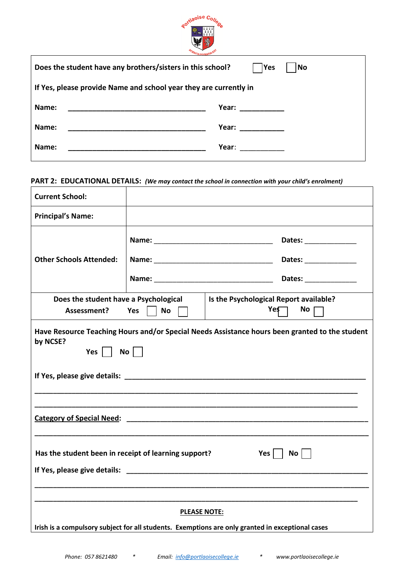

| Does the student have any brothers/sisters in this school?        | Yes<br> No                                                                                                                                                                                                                                                                                                                                                                                                                  |  |  |  |
|-------------------------------------------------------------------|-----------------------------------------------------------------------------------------------------------------------------------------------------------------------------------------------------------------------------------------------------------------------------------------------------------------------------------------------------------------------------------------------------------------------------|--|--|--|
| If Yes, please provide Name and school year they are currently in |                                                                                                                                                                                                                                                                                                                                                                                                                             |  |  |  |
| Name:                                                             | Year: $\frac{1}{\sqrt{1-\frac{1}{2}}\cdot\frac{1}{\sqrt{1-\frac{1}{2}}\cdot\frac{1}{\sqrt{1-\frac{1}{2}}\cdot\frac{1}{\sqrt{1-\frac{1}{2}}\cdot\frac{1}{\sqrt{1-\frac{1}{2}}\cdot\frac{1}{\sqrt{1-\frac{1}{2}}\cdot\frac{1}{\sqrt{1-\frac{1}{2}}\cdot\frac{1}{\sqrt{1-\frac{1}{2}}\cdot\frac{1}{\sqrt{1-\frac{1}{2}}\cdot\frac{1}{\sqrt{1-\frac{1}{2}}\cdot\frac{1}{\sqrt{1-\frac{1}{2}}\cdot\frac{1}{\sqrt{1-\frac{1}{2}}$ |  |  |  |
| Name:                                                             |                                                                                                                                                                                                                                                                                                                                                                                                                             |  |  |  |
| Name:                                                             | Year: ____________                                                                                                                                                                                                                                                                                                                                                                                                          |  |  |  |

## **PART 2: EDUCATIONAL DETAILS:** *(We may contact the school in connection with your child's enrolment)*

| <b>Current School:</b>                                                                                                                     |           |                                                                                                  |  |  |
|--------------------------------------------------------------------------------------------------------------------------------------------|-----------|--------------------------------------------------------------------------------------------------|--|--|
| <b>Principal's Name:</b>                                                                                                                   |           |                                                                                                  |  |  |
|                                                                                                                                            |           | Dates: _______________                                                                           |  |  |
| <b>Other Schools Attended:</b>                                                                                                             |           | Dates: _______________                                                                           |  |  |
|                                                                                                                                            |           | Dates: _______________                                                                           |  |  |
| Does the student have a Psychological<br>Assessment?                                                                                       | Yes<br>No | Is the Psychological Report available?<br>Yeş<br>No                                              |  |  |
| Have Resource Teaching Hours and/or Special Needs Assistance hours been granted to the student<br>by NCSE?<br>$Yes \mid \mid No \mid \mid$ |           |                                                                                                  |  |  |
|                                                                                                                                            |           |                                                                                                  |  |  |
|                                                                                                                                            |           |                                                                                                  |  |  |
| Has the student been in receipt of learning support?<br>$Yes \mid \mid No \mid$                                                            |           |                                                                                                  |  |  |
|                                                                                                                                            |           |                                                                                                  |  |  |
|                                                                                                                                            |           |                                                                                                  |  |  |
| <b>PLEASE NOTE:</b>                                                                                                                        |           |                                                                                                  |  |  |
|                                                                                                                                            |           | Irish is a compulsory subject for all students. Exemptions are only granted in exceptional cases |  |  |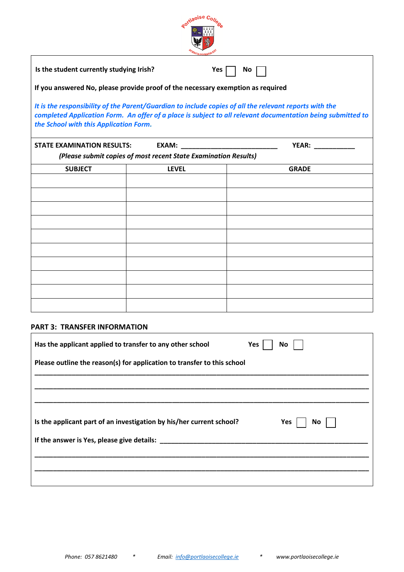| Portlaoise Coy                                                                  |                                                                 |                                                                                                                                                                                                                       |  |  |
|---------------------------------------------------------------------------------|-----------------------------------------------------------------|-----------------------------------------------------------------------------------------------------------------------------------------------------------------------------------------------------------------------|--|--|
| Is the student currently studying Irish?                                        |                                                                 | Yes<br>No.                                                                                                                                                                                                            |  |  |
| If you answered No, please provide proof of the necessary exemption as required |                                                                 |                                                                                                                                                                                                                       |  |  |
| the School with this Application Form.                                          |                                                                 | It is the responsibility of the Parent/Guardian to include copies of all the relevant reports with the<br>completed Application Form. An offer of a place is subject to all relevant documentation being submitted to |  |  |
| <b>STATE EXAMINATION RESULTS:</b>                                               | <b>EXAM:</b>                                                    | <b>YEAR:</b>                                                                                                                                                                                                          |  |  |
|                                                                                 | (Please submit copies of most recent State Examination Results) |                                                                                                                                                                                                                       |  |  |
| <b>SUBJECT</b>                                                                  | <b>LEVEL</b>                                                    | <b>GRADE</b>                                                                                                                                                                                                          |  |  |
|                                                                                 |                                                                 |                                                                                                                                                                                                                       |  |  |
|                                                                                 |                                                                 |                                                                                                                                                                                                                       |  |  |
|                                                                                 |                                                                 |                                                                                                                                                                                                                       |  |  |
|                                                                                 |                                                                 |                                                                                                                                                                                                                       |  |  |
|                                                                                 |                                                                 |                                                                                                                                                                                                                       |  |  |
|                                                                                 |                                                                 |                                                                                                                                                                                                                       |  |  |
|                                                                                 |                                                                 |                                                                                                                                                                                                                       |  |  |
|                                                                                 |                                                                 |                                                                                                                                                                                                                       |  |  |
|                                                                                 |                                                                 |                                                                                                                                                                                                                       |  |  |
|                                                                                 |                                                                 |                                                                                                                                                                                                                       |  |  |
| <b>PART 3: TRANSFER INFORMATION</b>                                             |                                                                 |                                                                                                                                                                                                                       |  |  |
| Has the applicant applied to transfer to any other school                       |                                                                 | Yes<br>No                                                                                                                                                                                                             |  |  |
| Please outline the reason(s) for application to transfer to this school         |                                                                 |                                                                                                                                                                                                                       |  |  |

| Is the applicant part of an investigation by his/her current school? | Yes     No |  |
|----------------------------------------------------------------------|------------|--|
| If the answer is Yes, please give details:                           |            |  |
|                                                                      |            |  |
|                                                                      |            |  |

**\_\_\_\_\_\_\_\_\_\_\_\_\_\_\_\_\_\_\_\_\_\_\_\_\_\_\_\_\_\_\_\_\_\_\_\_\_\_\_\_\_\_\_\_\_\_\_\_\_\_\_\_\_\_\_\_\_\_\_\_\_\_\_\_\_\_\_\_\_\_\_\_\_\_\_\_\_\_\_\_\_\_\_\_\_\_\_\_\_\_**

**\_\_\_\_\_\_\_\_\_\_\_\_\_\_\_\_\_\_\_\_\_\_\_\_\_\_\_\_\_\_\_\_\_\_\_\_\_\_\_\_\_\_\_\_\_\_\_\_\_\_\_\_\_\_\_\_\_\_\_\_\_\_\_\_\_\_\_\_\_\_\_\_\_\_\_\_\_\_\_\_\_\_\_\_\_\_\_\_\_\_**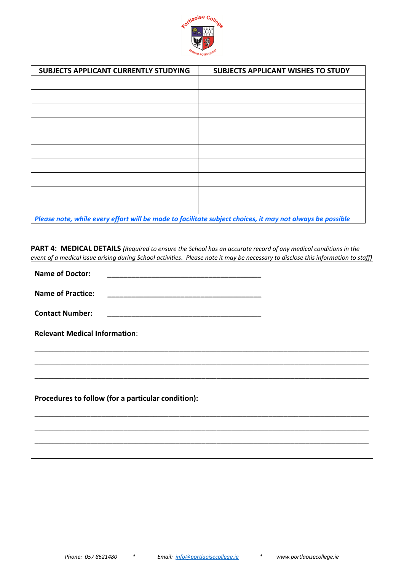

| SUBJECTS APPLICANT CURRENTLY STUDYING                                                                     | <b>SUBJECTS APPLICANT WISHES TO STUDY</b> |
|-----------------------------------------------------------------------------------------------------------|-------------------------------------------|
|                                                                                                           |                                           |
|                                                                                                           |                                           |
|                                                                                                           |                                           |
|                                                                                                           |                                           |
|                                                                                                           |                                           |
|                                                                                                           |                                           |
|                                                                                                           |                                           |
|                                                                                                           |                                           |
|                                                                                                           |                                           |
|                                                                                                           |                                           |
| Please note, while every effort will be made to facilitate subject choices, it may not always be possible |                                           |

**PART 4: MEDICAL DETAILS** *(Required to ensure the School has an accurate record of any medical conditions in the event of a medical issue arising during School activities. Please note it may be necessary to disclose this information to staff)*

| <b>Name of Doctor:</b>                             |  |  |  |
|----------------------------------------------------|--|--|--|
| <b>Name of Practice:</b>                           |  |  |  |
| <b>Contact Number:</b>                             |  |  |  |
| <b>Relevant Medical Information:</b>               |  |  |  |
|                                                    |  |  |  |
|                                                    |  |  |  |
| Procedures to follow (for a particular condition): |  |  |  |
|                                                    |  |  |  |
|                                                    |  |  |  |
|                                                    |  |  |  |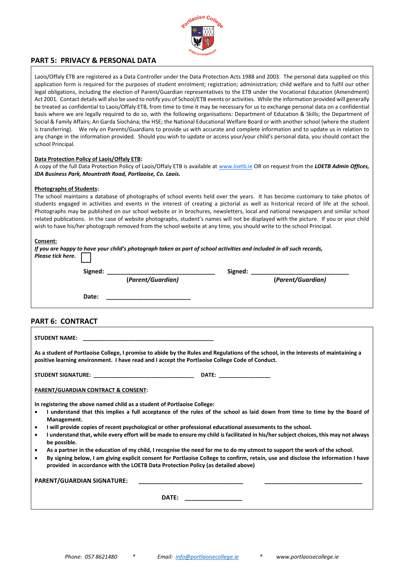

### **PART 5: PRIVACY & PERSONAL DATA**

Laois/Offaly ETB are registered as a Data Controller under the Data Protection Acts 1988 and 2003. The personal data supplied on this application form is required for the purposes of student enrolment; registration; administration; child welfare and to fulfil our other legal obligations, including the election of Parent/Guardian representatives to the ETB under the Vocational Education (Amendment) Act 2001. Contact details will also be used to notify you of School/ETB events or activities. While the information provided will generally be treated as confidential to Laois/Offaly ETB, from time to time it may be necessary for us to exchange personal data on a confidential basis where we are legally required to do so, with the following organisations: Department of Education & Skills; the Department of Social & Family Affairs; An Garda Síochána; the HSE; the National Educational Welfare Board or with another school (where the student is transferring). We rely on Parents/Guardians to provide us with accurate and complete information and to update us in relation to any change in the information provided. Should you wish to update or access your/your child's personal data, you should contact the school Principal.

#### **Data Protection Policy of Laois/Offaly ETB:**

A copy of the full Data Protection Policy of Laois/Offaly ETB is available at [www.loetb.ie](http://www.loetb.ie/) OR on request from the *LOETB Admin Offices, IDA Business Park, Mountrath Road, Portlaoise, Co. Laois.*

#### **Photographs of Students:**

The school maintains a database of photographs of school events held over the years. It has become customary to take photos of students engaged in activities and events in the interest of creating a pictorial as well as historical record of life at the school. Photographs may be published on our school website or in brochures, newsletters, local and national newspapers and similar school related publications. In the case of website photographs, student's names will not be displayed with the picture. If you or your child wish to have his/her photograph removed from the school website at any time, you should write to the school Principal.

#### **Consent:**

| www.c<br>Please tick here.                     | If you are happy to have your child's photograph taken as part of school activities and included in all such records, |  |                                                                                                                                      |  |  |
|------------------------------------------------|-----------------------------------------------------------------------------------------------------------------------|--|--------------------------------------------------------------------------------------------------------------------------------------|--|--|
|                                                |                                                                                                                       |  |                                                                                                                                      |  |  |
|                                                |                                                                                                                       |  | (Parent/Guardian)                                                                                                                    |  |  |
| Date:                                          |                                                                                                                       |  |                                                                                                                                      |  |  |
| <b>PART 6: CONTRACT</b>                        |                                                                                                                       |  |                                                                                                                                      |  |  |
| <b>STUDENT NAME:</b>                           |                                                                                                                       |  |                                                                                                                                      |  |  |
|                                                | positive learning environment. I have read and I accept the Portlaoise College Code of Conduct.                       |  | As a student of Portlaoise College, I promise to abide by the Rules and Regulations of the school, in the interests of maintaining a |  |  |
|                                                |                                                                                                                       |  |                                                                                                                                      |  |  |
| <b>PARENT/GUARDIAN CONTRACT &amp; CONSENT:</b> |                                                                                                                       |  |                                                                                                                                      |  |  |
| Management.                                    | In registering the above named child as a student of Portlaoise College:                                              |  | I understand that this implies a full acceptance of the rules of the school as laid down from time to time by the Board of           |  |  |
| $\bullet$                                      | I will provide copies of recent psychological or other professional educational assessments to the school.            |  |                                                                                                                                      |  |  |
| $\bullet$<br>be possible.                      |                                                                                                                       |  | I understand that, while every effort will be made to ensure my child is facilitated in his/her subject choices, this may not always |  |  |
|                                                |                                                                                                                       |  | As a partner in the education of my child, I recognise the need for me to do my utmost to support the work of the school.            |  |  |
| ٠                                              | provided in accordance with the LOETB Data Protection Policy (as detailed above)                                      |  | By signing below, I am giving explicit consent for Portlaoise College to confirm, retain, use and disclose the information I have    |  |  |
| <b>PARENT/GUARDIAN SIGNATURE:</b>              |                                                                                                                       |  |                                                                                                                                      |  |  |
|                                                | DATE:                                                                                                                 |  |                                                                                                                                      |  |  |